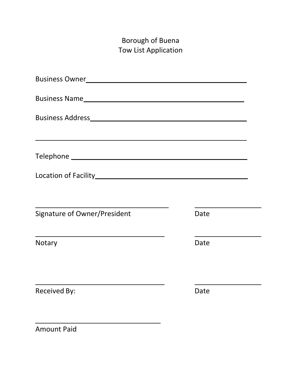## Borough of Buena Tow List Application

| Location of Facility Management Control and Control of Tacility                                                                |      |  |
|--------------------------------------------------------------------------------------------------------------------------------|------|--|
|                                                                                                                                |      |  |
| Signature of Owner/President                                                                                                   | Date |  |
| <u> 1989 - Johann Stein, marwolaethau a bhann an t-Amhair ann an t-Amhair an t-Amhair an t-Amhair an t-Amhair an</u><br>Notary | Date |  |
|                                                                                                                                |      |  |
| <b>Received By:</b>                                                                                                            | Date |  |
|                                                                                                                                |      |  |

Amount Paid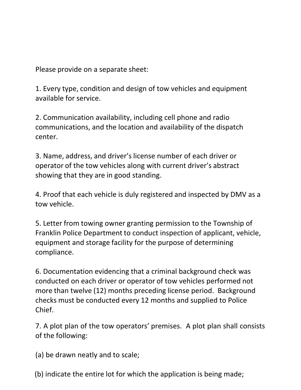Please provide on a separate sheet:

1. Every type, condition and design of tow vehicles and equipment available for service.

2. Communication availability, including cell phone and radio communications, and the location and availability of the dispatch center.

3. Name, address, and driver's license number of each driver or operator of the tow vehicles along with current driver's abstract showing that they are in good standing.

4. Proof that each vehicle is duly registered and inspected by DMV as a tow vehicle.

5. Letter from towing owner granting permission to the Township of Franklin Police Department to conduct inspection of applicant, vehicle, equipment and storage facility for the purpose of determining compliance.

6. Documentation evidencing that a criminal background check was conducted on each driver or operator of tow vehicles performed not more than twelve (12) months preceding license period. Background checks must be conducted every 12 months and supplied to Police Chief.

7. A plot plan of the tow operators' premises. A plot plan shall consists of the following:

(a) be drawn neatly and to scale;

(b) indicate the entire lot for which the application is being made;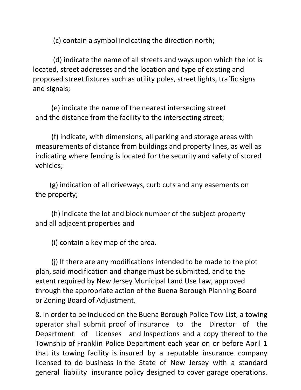(c) contain a symbol indicating the direction north;

(d) indicate the name of all streets and ways upon which the lot is located, street addresses and the location and type of existing and proposed street fixtures such as utility poles, street lights, traffic signs and signals;

 (e) indicate the name of the nearest intersecting street and the distance from the facility to the intersecting street;

 (f) indicate, with dimensions, all parking and storage areas with measurements of distance from buildings and property lines, as well as indicating where fencing is located for the security and safety of stored vehicles;

 (g) indication of all driveways, curb cuts and any easements on the property;

 (h) indicate the lot and block number of the subject property and all adjacent properties and

(i) contain a key map of the area.

 (j) If there are any modifications intended to be made to the plot plan, said modification and change must be submitted, and to the extent required by New Jersey Municipal Land Use Law, approved through the appropriate action of the Buena Borough Planning Board or Zoning Board of Adjustment.

8. In order to be included on the Buena Borough Police Tow List, a towing operator shall submit proof of insurance to the Director of the Department of Licenses and Inspections and a copy thereof to the Township of Franklin Police Department each year on or before April 1 that its towing facility is insured by a reputable insurance company licensed to do business in the State of New Jersey with a standard general liability insurance policy designed to cover garage operations.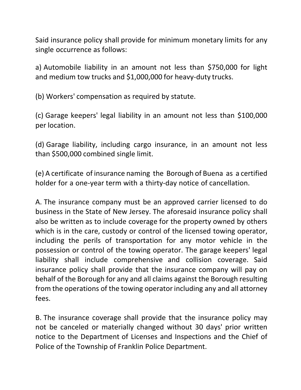Said insurance policy shall provide for minimum monetary limits for any single occurrence as follows:

a) Automobile liability in an amount not less than \$750,000 for light and medium tow trucks and \$1,000,000 for heavy-duty trucks.

(b) Workers' compensation as required by statute.

(c) Garage keepers' legal liability in an amount not less than \$100,000 per location.

(d) Garage liability, including cargo insurance, in an amount not less than \$500,000 combined single limit.

(e) A certificate of insurance naming the Borough of Buena as a certified holder for a one-year term with a thirty-day notice of cancellation.

A. The insurance company must be an approved carrier licensed to do business in the State of New Jersey. The aforesaid insurance policy shall also be written as to include coverage for the property owned by others which is in the care, custody or control of the licensed towing operator, including the perils of transportation for any motor vehicle in the possession or control of the towing operator. The garage keepers' legal liability shall include comprehensive and collision coverage. Said insurance policy shall provide that the insurance company will pay on behalf of the Borough for any and all claims against the Borough resulting from the operations of the towing operator including any and all attorney fees.

B. The insurance coverage shall provide that the insurance policy may not be canceled or materially changed without 30 days' prior written notice to the Department of Licenses and Inspections and the Chief of Police of the Township of Franklin Police Department.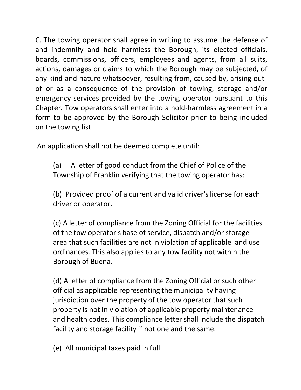C. The towing operator shall agree in writing to assume the defense of and indemnify and hold harmless the Borough, its elected officials, boards, commissions, officers, employees and agents, from all suits, actions, damages or claims to which the Borough may be subjected, of any kind and nature whatsoever, resulting from, caused by, arising out of or as a consequence of the provision of towing, storage and/or emergency services provided by the towing operator pursuant to this Chapter. Tow operators shall enter into a hold-harmless agreement in a form to be approved by the Borough Solicitor prior to being included on the towing list.

An application shall not be deemed complete until:

(a) A letter of good conduct from the Chief of Police of the Township of Franklin verifying that the towing operator has:

(b) Provided proof of a current and valid driver's license for each driver or operator.

(c) A letter of compliance from the Zoning Official for the facilities of the tow operator's base of service, dispatch and/or storage area that such facilities are not in violation of applicable land use ordinances. This also applies to any tow facility not within the Borough of Buena.

(d) A letter of compliance from the Zoning Official or such other official as applicable representing the municipality having jurisdiction over the property of the tow operator that such property is not in violation of applicable property maintenance and health codes. This compliance letter shall include the dispatch facility and storage facility if not one and the same.

(e) All municipal taxes paid in full.